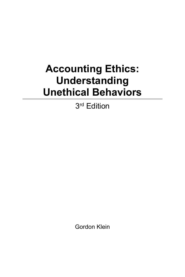## **Accounting Ethics: Understanding Unethical Behaviors**

3 rd Edition

Gordon Klein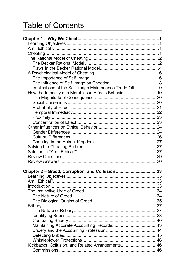## **Table of Contents**

| Implications of the Self-Image Maintenance Trade-Off 9 |  |
|--------------------------------------------------------|--|
| How the Intensity of a Moral Issue Affects Behavior 19 |  |
|                                                        |  |
|                                                        |  |
|                                                        |  |
|                                                        |  |
|                                                        |  |
|                                                        |  |
|                                                        |  |
|                                                        |  |
|                                                        |  |
|                                                        |  |
|                                                        |  |
|                                                        |  |
|                                                        |  |
|                                                        |  |
|                                                        |  |
| Chapter 2 - Greed, Corruption, and Collusion 33        |  |
|                                                        |  |
|                                                        |  |
|                                                        |  |
|                                                        |  |
|                                                        |  |
|                                                        |  |
|                                                        |  |
|                                                        |  |
|                                                        |  |
|                                                        |  |
|                                                        |  |
|                                                        |  |
|                                                        |  |
|                                                        |  |
| Kickbacks, Collusion, and Related Arrangements46       |  |
|                                                        |  |
|                                                        |  |